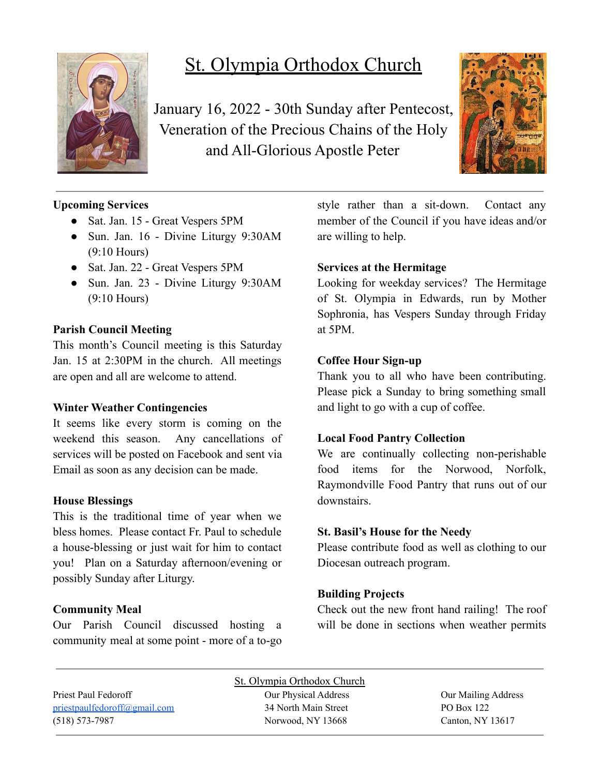

# St. Olympia Orthodox Church

January 16, 2022 - 30th Sunday after Pentecost, Veneration of the Precious Chains of the Holy and All-Glorious Apostle Peter



# **Upcoming Services**

- Sat. Jan. 15 Great Vespers 5PM
- Sun. Jan. 16 Divine Liturgy 9:30AM (9:10 Hours)
- Sat. Jan. 22 Great Vespers 5PM
- Sun. Jan. 23 Divine Liturgy 9:30AM (9:10 Hours)

## **Parish Council Meeting**

This month's Council meeting is this Saturday Jan. 15 at 2:30PM in the church. All meetings are open and all are welcome to attend.

#### **Winter Weather Contingencies**

It seems like every storm is coming on the weekend this season. Any cancellations of services will be posted on Facebook and sent via Email as soon as any decision can be made.

#### **House Blessings**

This is the traditional time of year when we bless homes. Please contact Fr. Paul to schedule a house-blessing or just wait for him to contact you! Plan on a Saturday afternoon/evening or possibly Sunday after Liturgy.

# **Community Meal**

Our Parish Council discussed hosting a community meal at some point - more of a to-go style rather than a sit-down. Contact any member of the Council if you have ideas and/or are willing to help.

## **Services at the Hermitage**

Looking for weekday services? The Hermitage of St. Olympia in Edwards, run by Mother Sophronia, has Vespers Sunday through Friday at 5PM.

## **Coffee Hour Sign-up**

Thank you to all who have been contributing. Please pick a Sunday to bring something small and light to go with a cup of coffee.

# **Local Food Pantry Collection**

We are continually collecting non-perishable food items for the Norwood, Norfolk, Raymondville Food Pantry that runs out of our downstairs.

#### **St. Basil's House for the Needy**

Please contribute food as well as clothing to our Diocesan outreach program.

# **Building Projects**

Check out the new front hand railing! The roof will be done in sections when weather permits

|                              | St. Olympia Orthodox Church |                     |
|------------------------------|-----------------------------|---------------------|
| Priest Paul Fedoroff         | Our Physical Address        | Our Mailing Address |
| priestpaulfedoroff@gmail.com | 34 North Main Street        | PO Box 122          |
| $(518) 573 - 7987$           | Norwood, NY 13668           | Canton, NY $13617$  |